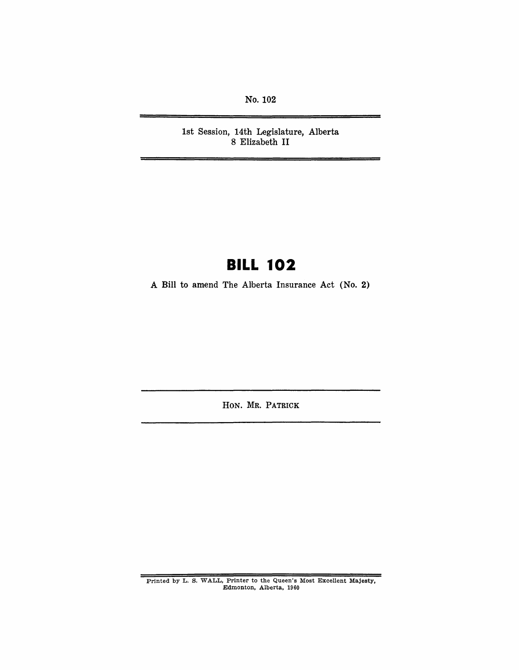No. 102

1st Session, 14th Legislature, Alberta 8 Elizabeth II

# **BILL 102**

A Bill to amend The Alberta Insurance Act (No.2)

HON. MR. PATRICK

Printed by L. S. WALL, Printer to the Queen's Most Excellent Majesty, Edmonton, Alberta, 1960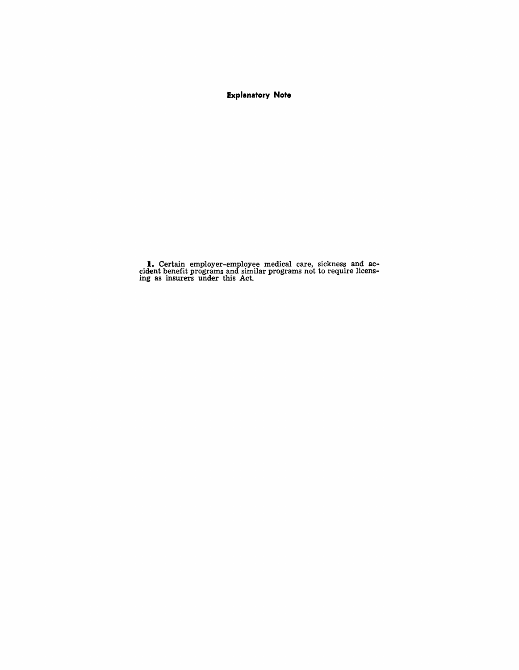### **Explanatory Note**

**I.** Certain employer-employee medical care, sickness and ac-<br>cident benefit programs and similar programs not to require licensing as insurers under this Act.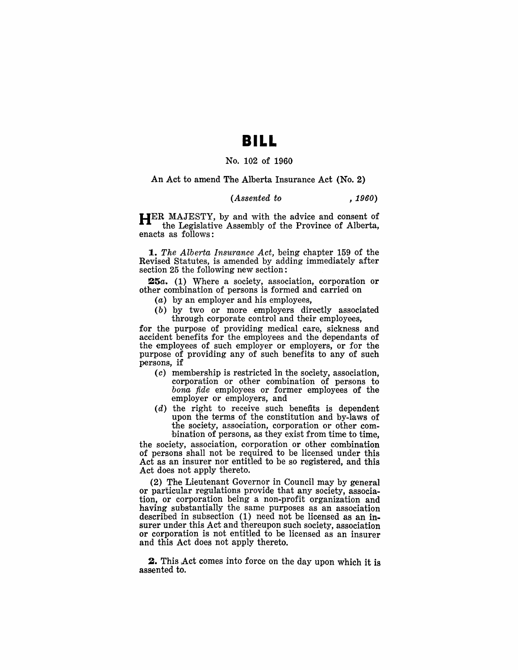## **BILL**

#### No. 102 of 1960

An Act to amend The Alberta Insurance Act (No.2)

#### *(Assented to , 1960)*

HER MAJESTY, by and with the advice and consent of the Legislative Assembly of the Province of Alberta, enacts as follows:

*1. The Alberta Insurance Act,* being chapter 159 of the Revised Statutes, is amended by adding immediately after section 25 the following new section:

25a. (1) Where a society, association, corporation or other combination of persons is formed and carried on

- (a) by an employer and his employees,
- (b) by two or more employers directly associated through corporate control and their employees,

for the purpose of providing medical care, sickness and accident benefits for the employees and the dependants of the employees of such employer or employers, or for the purpose of providing any of such benefits to any of such persons, if

- (c) membership is restricted In the society, association, corporation or other combination of persons to *bona fide* employees or former employees of the employer or employers, and
- $(d)$  the right to receive such benefits is dependent upon the terms of the constitution and by-laws of the society, association, corporation or other combination of persons, as they exist from time to time,

the society, association, corporation or other combination of persons shall not be required to be licensed under this Act as an insurer nor entitled to be so registered, and this Act does not apply thereto.

(2) The Lieutenant Governor in Council may by general or particular regulations provide that any society, association, or corporation being a non-profit organization and having substantially the same purposes as an association described in subsection (1) need not be licensed as an insurer under this Act and thereupon such society, association or corporation is not entitled to be licensed as an insurer and this Act does not apply thereto.

2. This Act comes into force on the day upon which it is assented to.